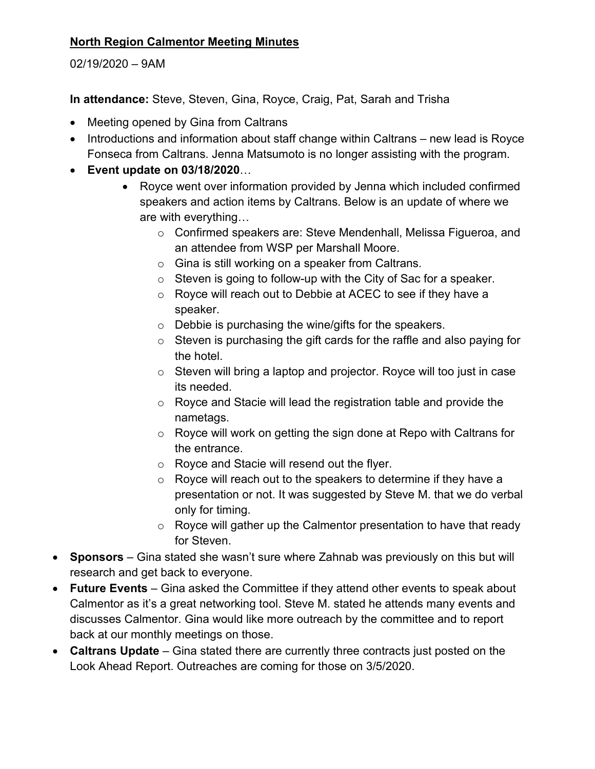## **North Region Calmentor Meeting Minutes**

02/19/2020 – 9AM

**In attendance:** Steve, Steven, Gina, Royce, Craig, Pat, Sarah and Trisha

- Meeting opened by Gina from Caltrans
- Introductions and information about staff change within Caltrans new lead is Royce Fonseca from Caltrans. Jenna Matsumoto is no longer assisting with the program.
- **Event update on 03/18/2020**…
	- Royce went over information provided by Jenna which included confirmed speakers and action items by Caltrans. Below is an update of where we are with everything…
		- o Confirmed speakers are: Steve Mendenhall, Melissa Figueroa, and an attendee from WSP per Marshall Moore.
		- o Gina is still working on a speaker from Caltrans.
		- o Steven is going to follow-up with the City of Sac for a speaker.
		- o Royce will reach out to Debbie at ACEC to see if they have a speaker.
		- o Debbie is purchasing the wine/gifts for the speakers.
		- o Steven is purchasing the gift cards for the raffle and also paying for the hotel.
		- o Steven will bring a laptop and projector. Royce will too just in case its needed.
		- o Royce and Stacie will lead the registration table and provide the nametags.
		- o Royce will work on getting the sign done at Repo with Caltrans for the entrance.
		- o Royce and Stacie will resend out the flyer.
		- o Royce will reach out to the speakers to determine if they have a presentation or not. It was suggested by Steve M. that we do verbal only for timing.
		- o Royce will gather up the Calmentor presentation to have that ready for Steven.
- **Sponsors** Gina stated she wasn't sure where Zahnab was previously on this but will research and get back to everyone.
- **Future Events** Gina asked the Committee if they attend other events to speak about Calmentor as it's a great networking tool. Steve M. stated he attends many events and discusses Calmentor. Gina would like more outreach by the committee and to report back at our monthly meetings on those.
- **Caltrans Update**  Gina stated there are currently three contracts just posted on the Look Ahead Report. Outreaches are coming for those on 3/5/2020.